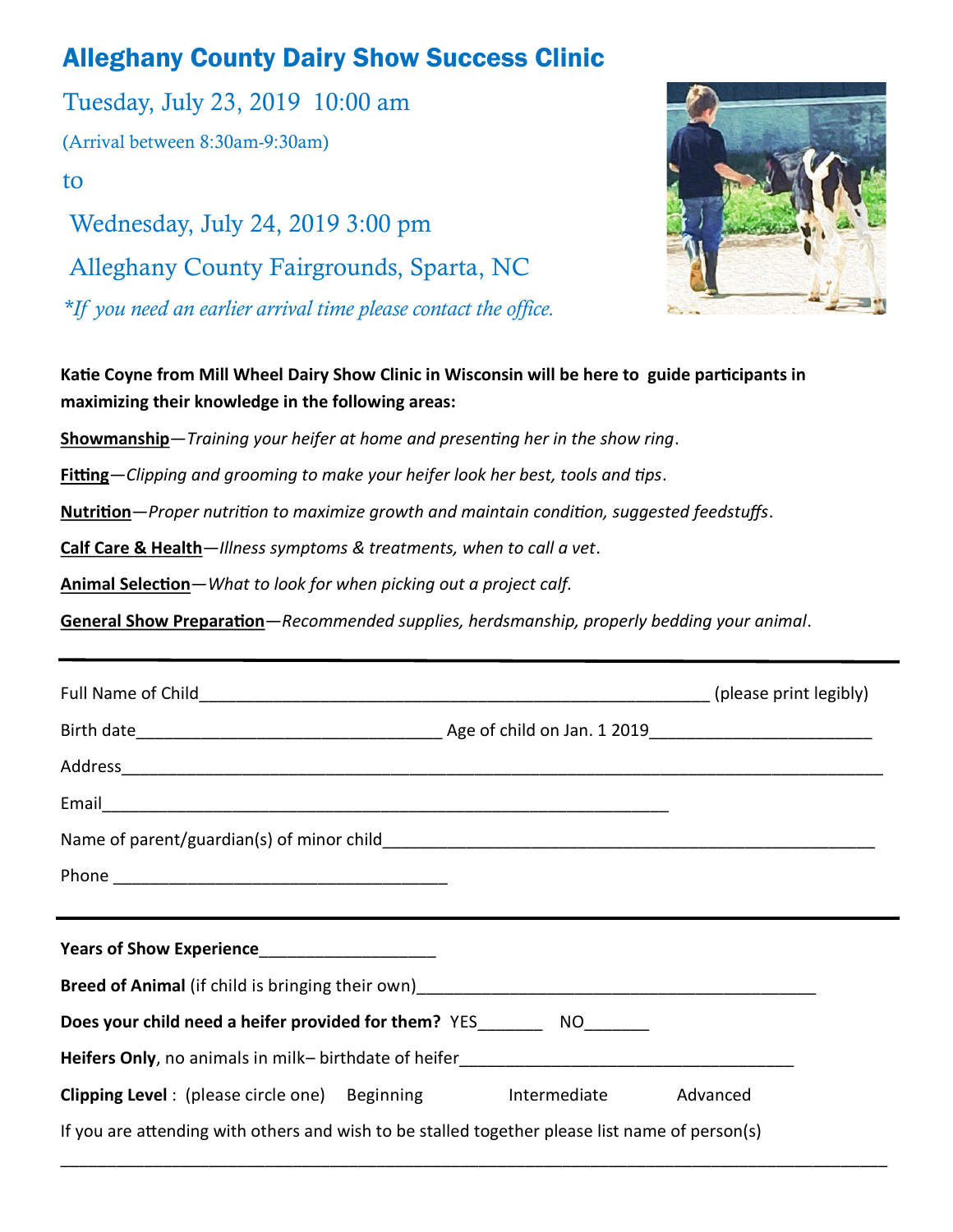# Alleghany County Dairy Show Success Clinic

Tuesday, July 23, 2019 10:00 am (Arrival between 8:30am-9:30am) to Wednesday, July 24, 2019 3:00 pm Alleghany County Fairgrounds, Sparta, NC

*\*If you need an earlier arrival time please contact the office.*



**Katie Coyne from Mill Wheel Dairy Show Clinic in Wisconsin will be here to guide participants in maximizing their knowledge in the following areas:**

**Showmanship**—*Training your heifer at home and presenting her in the show ring*.

**Fitting**—*Clipping and grooming to make your heifer look her best, tools and tips*.

**Nutrition**—*Proper nutrition to maximize growth and maintain condition, suggested feedstuffs*.

**Calf Care & Health**—*Illness symptoms & treatments, when to call a vet*.

**Animal Selection**—*What to look for when picking out a project calf.*

**General Show Preparation**—*Recommended supplies, herdsmanship, properly bedding your animal*.

| and the control of the control of the control of the control of the control of the control of the control of the |  |
|------------------------------------------------------------------------------------------------------------------|--|
|                                                                                                                  |  |
|                                                                                                                  |  |
| Does your child need a heifer provided for them? YES__________ NO________                                        |  |
|                                                                                                                  |  |
| Clipping Level: (please circle one) Beginning htermediate Advanced                                               |  |
| If you are attending with others and wish to be stalled together please list name of person(s)                   |  |

\_\_\_\_\_\_\_\_\_\_\_\_\_\_\_\_\_\_\_\_\_\_\_\_\_\_\_\_\_\_\_\_\_\_\_\_\_\_\_\_\_\_\_\_\_\_\_\_\_\_\_\_\_\_\_\_\_\_\_\_\_\_\_\_\_\_\_\_\_\_\_\_\_\_\_\_\_\_\_\_\_\_\_\_\_\_\_\_\_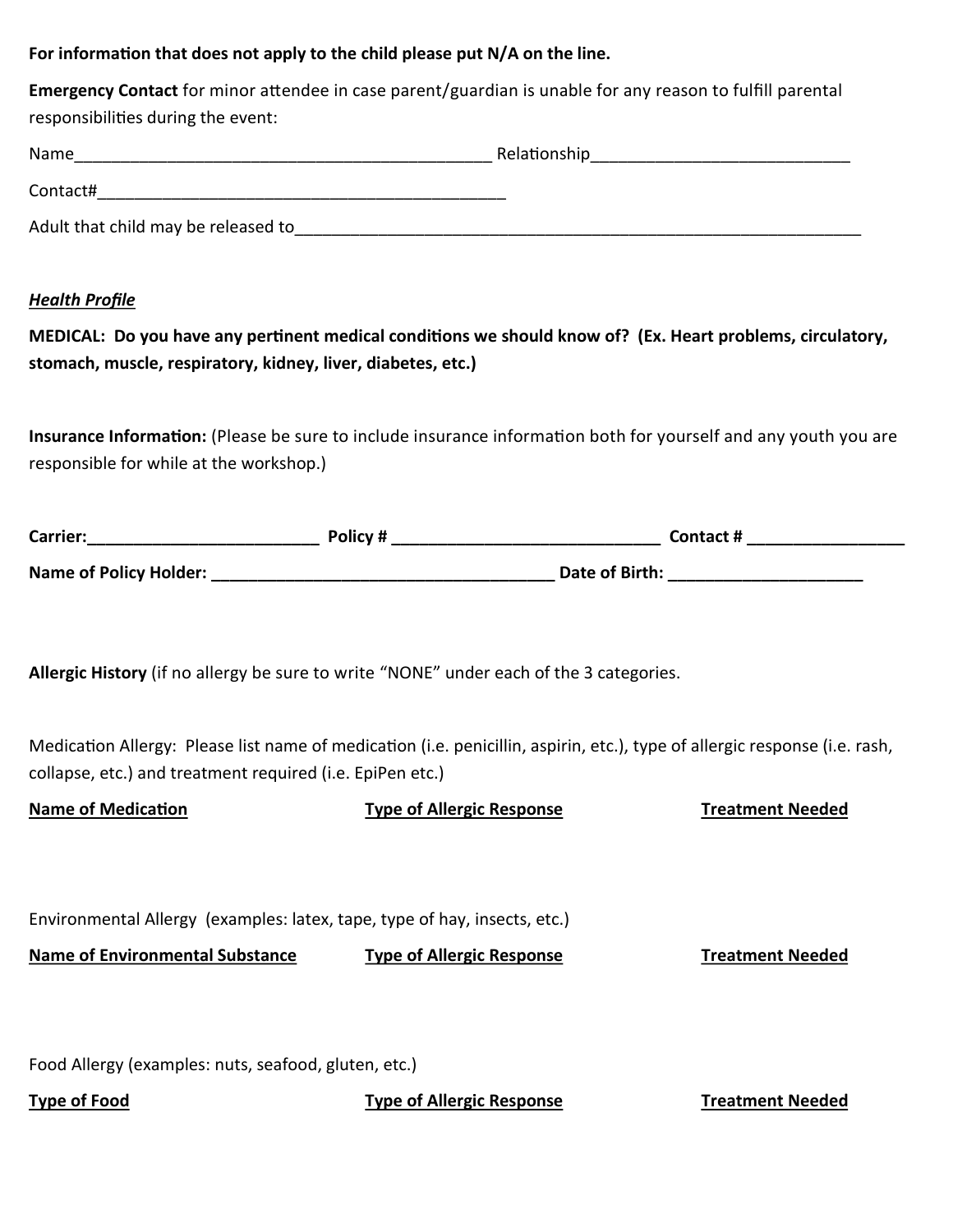### **For information that does not apply to the child please put N/A on the line.**

| <b>Emergency Contact</b> for minor attendee in case parent/guardian is unable for any reason to fulfill parental |
|------------------------------------------------------------------------------------------------------------------|
| responsibilities during the event:                                                                               |

| Name                                | Relationship |  |
|-------------------------------------|--------------|--|
| Contact#                            |              |  |
| Adult that child may be released to |              |  |

#### *Health Profile*

**MEDICAL: Do you have any pertinent medical conditions we should know of? (Ex. Heart problems, circulatory, stomach, muscle, respiratory, kidney, liver, diabetes, etc.)**

**Insurance Information:** (Please be sure to include insurance information both for yourself and any youth you are responsible for while at the workshop.)

| <b>Carrier:</b>        | Policy# | <b>Contact #</b> |
|------------------------|---------|------------------|
| Name of Policy Holder: |         | Date of Birth:   |

**Allergic History** (if no allergy be sure to write "NONE" under each of the 3 categories.

Medication Allergy: Please list name of medication (i.e. penicillin, aspirin, etc.), type of allergic response (i.e. rash, collapse, etc.) and treatment required (i.e. EpiPen etc.)

| <b>Name of Medication</b>                                                 | <b>Type of Allergic Response</b> | <b>Treatment Needed</b> |
|---------------------------------------------------------------------------|----------------------------------|-------------------------|
|                                                                           |                                  |                         |
|                                                                           |                                  |                         |
| Environmental Allergy (examples: latex, tape, type of hay, insects, etc.) |                                  |                         |
| <b>Name of Environmental Substance</b>                                    | <b>Type of Allergic Response</b> | <b>Treatment Needed</b> |
|                                                                           |                                  |                         |
|                                                                           |                                  |                         |
| Food Allergy (examples: nuts, seafood, gluten, etc.)                      |                                  |                         |
| <b>Type of Food</b>                                                       | <b>Type of Allergic Response</b> | <b>Treatment Needed</b> |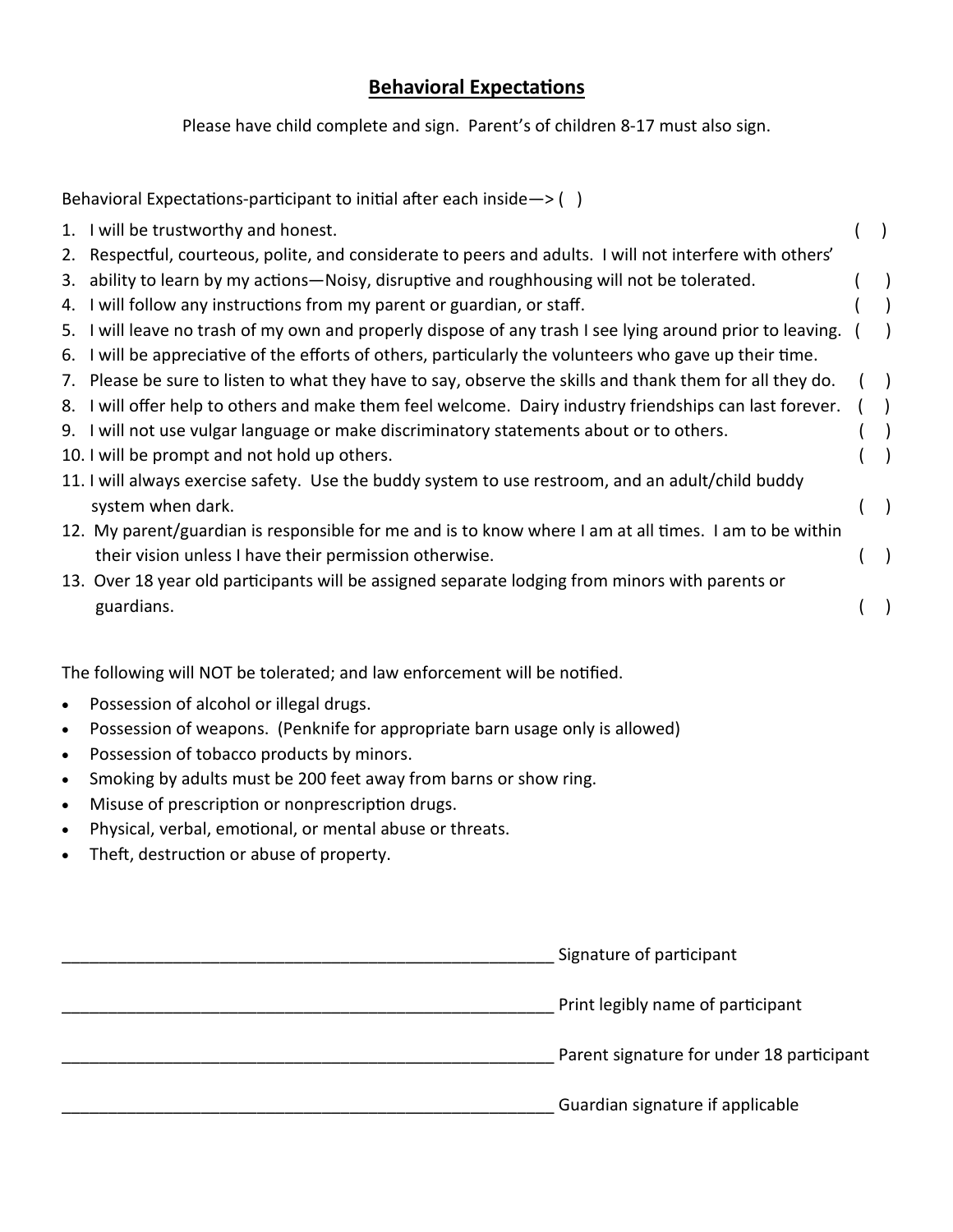# **Behavioral Expectations**

Please have child complete and sign. Parent's of children 8-17 must also sign.

|    | Behavioral Expectations-participant to initial after each inside $\rightarrow$ ()                         |               |
|----|-----------------------------------------------------------------------------------------------------------|---------------|
|    | 1. I will be trustworthy and honest.                                                                      |               |
|    | 2. Respectful, courteous, polite, and considerate to peers and adults. I will not interfere with others'  |               |
| 3. | ability to learn by my actions—Noisy, disruptive and roughhousing will not be tolerated.                  |               |
|    | 4. I will follow any instructions from my parent or guardian, or staff.                                   |               |
|    | 5. I will leave no trash of my own and properly dispose of any trash I see lying around prior to leaving. |               |
|    | 6. I will be appreciative of the efforts of others, particularly the volunteers who gave up their time.   |               |
|    | 7. Please be sure to listen to what they have to say, observe the skills and thank them for all they do.  |               |
|    | 8. I will offer help to others and make them feel welcome. Dairy industry friendships can last forever.   | $\rightarrow$ |
|    | 9. I will not use vulgar language or make discriminatory statements about or to others.                   |               |
|    | 10. I will be prompt and not hold up others.                                                              |               |
|    | 11. I will always exercise safety. Use the buddy system to use restroom, and an adult/child buddy         |               |
|    | system when dark.                                                                                         |               |
|    | 12. My parent/guardian is responsible for me and is to know where I am at all times. I am to be within    |               |
|    | their vision unless I have their permission otherwise.                                                    |               |
|    | 13. Over 18 year old participants will be assigned separate lodging from minors with parents or           |               |
|    | guardians.                                                                                                |               |
|    |                                                                                                           |               |

The following will NOT be tolerated; and law enforcement will be notified.

- Possession of alcohol or illegal drugs.
- Possession of weapons. (Penknife for appropriate barn usage only is allowed)
- Possession of tobacco products by minors.
- Smoking by adults must be 200 feet away from barns or show ring.
- Misuse of prescription or nonprescription drugs.
- Physical, verbal, emotional, or mental abuse or threats.
- Theft, destruction or abuse of property.

| Signature of participant                  |
|-------------------------------------------|
| Print legibly name of participant         |
| Parent signature for under 18 participant |
| Guardian signature if applicable          |